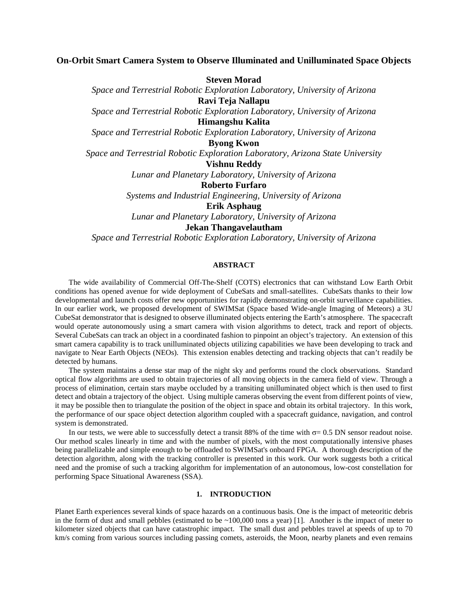# **On-Orbit Smart Camera System to Observe Illuminated and Unilluminated Space Objects**

**Steven Morad**

*Space and Terrestrial Robotic Exploration Laboratory, University of Arizona* **Ravi Teja Nallapu**

*Space and Terrestrial Robotic Exploration Laboratory, University of Arizona*

**Himangshu Kalita**

*Space and Terrestrial Robotic Exploration Laboratory, University of Arizona*

**Byong Kwon**

*Space and Terrestrial Robotic Exploration Laboratory, Arizona State University*

**Vishnu Reddy**

*Lunar and Planetary Laboratory, University of Arizona*

**Roberto Furfaro**

*Systems and Industrial Engineering, University of Arizona*

**Erik Asphaug**

*Lunar and Planetary Laboratory, University of Arizona*

**Jekan Thangavelautham**

*Space and Terrestrial Robotic Exploration Laboratory, University of Arizona*

# **ABSTRACT**

The wide availability of Commercial Off-The-Shelf (COTS) electronics that can withstand Low Earth Orbit conditions has opened avenue for wide deployment of CubeSats and small-satellites. CubeSats thanks to their low developmental and launch costs offer new opportunities for rapidly demonstrating on-orbit surveillance capabilities. In our earlier work, we proposed development of SWIMSat (Space based Wide-angle Imaging of Meteors) a 3U CubeSat demonstrator that is designed to observe illuminated objects entering the Earth's atmosphere. The spacecraft would operate autonomously using a smart camera with vision algorithms to detect, track and report of objects. Several CubeSats can track an object in a coordinated fashion to pinpoint an object's trajectory. An extension of this smart camera capability is to track unilluminated objects utilizing capabilities we have been developing to track and navigate to Near Earth Objects (NEOs). This extension enables detecting and tracking objects that can't readily be detected by humans.

The system maintains a dense star map of the night sky and performs round the clock observations. Standard optical flow algorithms are used to obtain trajectories of all moving objects in the camera field of view. Through a process of elimination, certain stars maybe occluded by a transiting unilluminated object which is then used to first detect and obtain a trajectory of the object. Using multiple cameras observing the event from different points of view, it may be possible then to triangulate the position of the object in space and obtain its orbital trajectory. In this work, the performance of our space object detection algorithm coupled with a spacecraft guidance, navigation, and control system is demonstrated.

In our tests, we were able to successfully detect a transit 88% of the time with  $\sigma$  = 0.5 DN sensor readout noise. Our method scales linearly in time and with the number of pixels, with the most computationally intensive phases being parallelizable and simple enough to be offloaded to SWIMSat's onboard FPGA. A thorough description of the detection algorithm, along with the tracking controller is presented in this work. Our work suggests both a critical need and the promise of such a tracking algorithm for implementation of an autonomous, low-cost constellation for performing Space Situational Awareness (SSA).

### **1. INTRODUCTION**

Planet Earth experiences several kinds of space hazards on a continuous basis. One is the impact of meteoritic debris in the form of dust and small pebbles (estimated to be ~100,000 tons a year) [1]. Another is the impact of meter to kilometer sized objects that can have catastrophic impact. The small dust and pebbles travel at speeds of up to 70 km/s coming from various sources including passing comets, asteroids, the Moon, nearby planets and even remains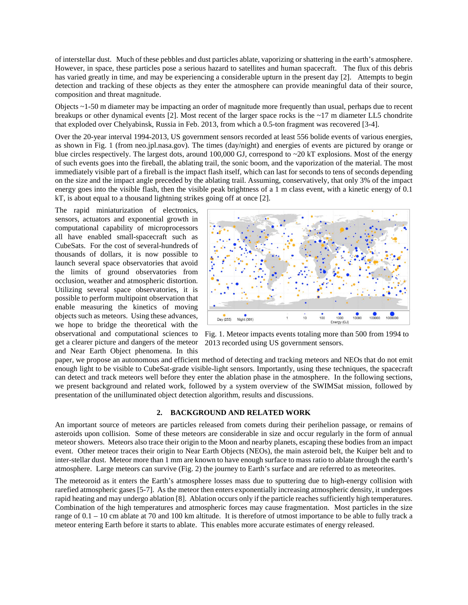of interstellar dust. Much of these pebbles and dust particles ablate, vaporizing or shattering in the earth's atmosphere. However, in space, these particles pose a serious hazard to satellites and human spacecraft. The flux of this debris has varied greatly in time, and may be experiencing a considerable upturn in the present day [2]. Attempts to begin detection and tracking of these objects as they enter the atmosphere can provide meaningful data of their source, composition and threat magnitude.

Objects ~1-50 m diameter may be impacting an order of magnitude more frequently than usual, perhaps due to recent breakups or other dynamical events [2]. Most recent of the larger space rocks is the ~17 m diameter LL5 chondrite that exploded over Chelyabinsk, Russia in Feb. 2013, from which a 0.5-ton fragment was recovered [3-4].

Over the 20-year interval 1994-2013, US government sensors recorded at least 556 bolide events of various energies, as shown in Fig. 1 (from neo.jpl.nasa.gov). The times (day/night) and energies of events are pictured by orange or blue circles respectively. The largest dots, around 100,000 GJ, correspond to ~20 kT explosions. Most of the energy of such events goes into the fireball, the ablating trail, the sonic boom, and the vaporization of the material. The most immediately visible part of a fireball is the impact flash itself, which can last for seconds to tens of seconds depending on the size and the impact angle preceded by the ablating trail. Assuming, conservatively, that only 3% of the impact energy goes into the visible flash, then the visible peak brightness of a 1 m class event, with a kinetic energy of 0.1 kT, is about equal to a thousand lightning strikes going off at once [2].

The rapid miniaturization of electronics, sensors, actuators and exponential growth in computational capability of microprocessors all have enabled small-spacecraft such as CubeSats. For the cost of several-hundreds of thousands of dollars, it is now possible to launch several space observatories that avoid the limits of ground observatories from occlusion, weather and atmospheric distortion. Utilizing several space observatories, it is possible to perform multipoint observation that enable measuring the kinetics of moving objects such as meteors. Using these advances, we hope to bridge the theoretical with the get a clearer picture and dangers of the meteor and Near Earth Object phenomena. In this



observational and computational sciences to Fig. 1. Meteor impacts events totaling more than 500 from 1994 to 2013 recorded using US government sensors.

paper, we propose an autonomous and efficient method of detecting and tracking meteors and NEOs that do not emit enough light to be visible to CubeSat-grade visible-light sensors. Importantly, using these techniques, the spacecraft can detect and track meteors well before they enter the ablation phase in the atmosphere. In the following sections, we present background and related work, followed by a system overview of the SWIMSat mission, followed by presentation of the unilluminated object detection algorithm, results and discussions.

### **2. BACKGROUND AND RELATED WORK**

An important source of meteors are particles released from comets during their perihelion passage, or remains of asteroids upon collision. Some of these meteors are considerable in size and occur regularly in the form of annual meteor showers. Meteors also trace their origin to the Moon and nearby planets, escaping these bodies from an impact event. Other meteor traces their origin to Near Earth Objects (NEOs), the main asteroid belt, the Kuiper belt and to inter-stellar dust. Meteor more than 1 mm are known to have enough surface to mass ratio to ablate through the earth's atmosphere. Large meteors can survive (Fig. 2) the journey to Earth's surface and are referred to as meteorites.

The meteoroid as it enters the Earth's atmosphere losses mass due to sputtering due to high-energy collision with rarefied atmospheric gases [5-7]. As the meteor then enters exponentially increasing atmospheric density, it undergoes rapid heating and may undergo ablation [8]. Ablation occurs only if the particle reaches sufficiently high temperatures. Combination of the high temperatures and atmospheric forces may cause fragmentation. Most particles in the size range of 0.1 – 10 cm ablate at 70 and 100 km altitude. It is therefore of utmost importance to be able to fully track a meteor entering Earth before it starts to ablate. This enables more accurate estimates of energy released.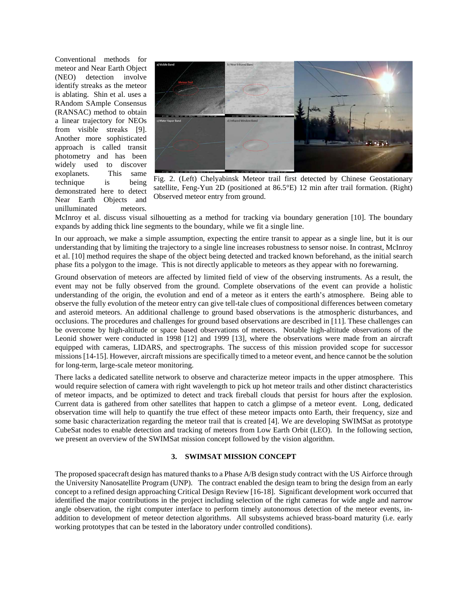Conventional methods for meteor and Near Earth Object (NEO) detection involve identify streaks as the meteor is ablating. Shin et al. uses a RAndom SAmple Consensus (RANSAC) method to obtain a linear trajectory for NEOs from visible streaks [9]. Another more sophisticated approach is called transit photometry and has been widely used to discover exoplanets. This same technique is being demonstrated here to detect Near Earth Objects and unilluminated meteors.



Fig. 2. (Left) Chelyabinsk Meteor trail first detected by Chinese Geostationary satellite, Feng-Yun 2D (positioned at 86.5°E) 12 min after trail formation. (Right) Observed meteor entry from ground.

McInroy et al. discuss visual silhouetting as a method for tracking via boundary generation [10]. The boundary expands by adding thick line segments to the boundary, while we fit a single line.

In our approach, we make a simple assumption, expecting the entire transit to appear as a single line, but it is our understanding that by limiting the trajectory to a single line increases robustness to sensor noise. In contrast, McInroy et al. [10] method requires the shape of the object being detected and tracked known beforehand, as the initial search phase fits a polygon to the image. This is not directly applicable to meteors as they appear with no forewarning.

Ground observation of meteors are affected by limited field of view of the observing instruments. As a result, the event may not be fully observed from the ground. Complete observations of the event can provide a holistic understanding of the origin, the evolution and end of a meteor as it enters the earth's atmosphere. Being able to observe the fully evolution of the meteor entry can give tell-tale clues of compositional differences between cometary and asteroid meteors. An additional challenge to ground based observations is the atmospheric disturbances, and occlusions. The procedures and challenges for ground based observations are described in [11]. These challenges can be overcome by high-altitude or space based observations of meteors. Notable high-altitude observations of the Leonid shower were conducted in 1998 [12] and 1999 [13], where the observations were made from an aircraft equipped with cameras, LIDARS, and spectrographs. The success of this mission provided scope for successor missions [14-15]. However, aircraft missions are specifically timed to a meteor event, and hence cannot be the solution for long-term, large-scale meteor monitoring.

There lacks a dedicated satellite network to observe and characterize meteor impacts in the upper atmosphere. This would require selection of camera with right wavelength to pick up hot meteor trails and other distinct characteristics of meteor impacts, and be optimized to detect and track fireball clouds that persist for hours after the explosion. Current data is gathered from other satellites that happen to catch a glimpse of a meteor event. Long, dedicated observation time will help to quantify the true effect of these meteor impacts onto Earth, their frequency, size and some basic characterization regarding the meteor trail that is created [4]. We are developing SWIMSat as prototype CubeSat nodes to enable detection and tracking of meteors from Low Earth Orbit (LEO). In the following section, we present an overview of the SWIMSat mission concept followed by the vision algorithm.

### **3. SWIMSAT MISSION CONCEPT**

The proposed spacecraft design has matured thanks to a Phase A/B design study contract with the US Airforce through the University Nanosatellite Program (UNP). The contract enabled the design team to bring the design from an early concept to a refined design approaching Critical Design Review [16-18]. Significant development work occurred that identified the major contributions in the project including selection of the right cameras for wide angle and narrow angle observation, the right computer interface to perform timely autonomous detection of the meteor events, inaddition to development of meteor detection algorithms. All subsystems achieved brass-board maturity (i.e. early working prototypes that can be tested in the laboratory under controlled conditions).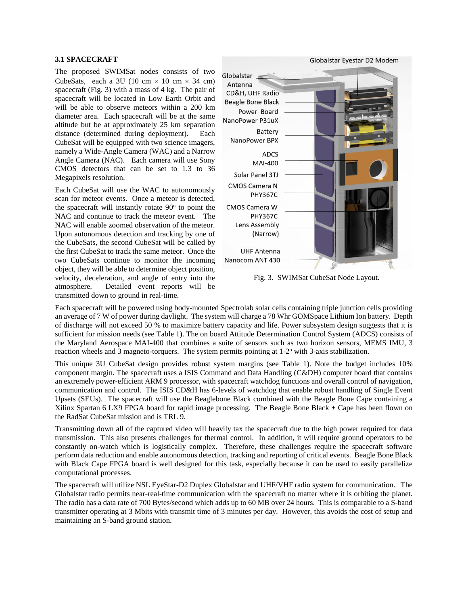## **3.1 SPACECRAFT**

The proposed SWIMSat nodes consists of two CubeSats, each a 3U (10 cm  $\times$  10 cm  $\times$  34 cm) spacecraft (Fig. 3) with a mass of 4 kg. The pair of spacecraft will be located in Low Earth Orbit and will be able to observe meteors within a 200 km diameter area. Each spacecraft will be at the same altitude but be at approximately 25 km separation distance (determined during deployment). Each CubeSat will be equipped with two science imagers, namely a Wide-Angle Camera (WAC) and a Narrow Angle Camera (NAC). Each camera will use Sony CMOS detectors that can be set to 1.3 to 36 Megapixels resolution.

Each CubeSat will use the WAC to autonomously scan for meteor events. Once a meteor is detected, the spacecraft will instantly rotate  $90^{\circ}$  to point the NAC and continue to track the meteor event. The NAC will enable zoomed observation of the meteor. Upon autonomous detection and tracking by one of the CubeSats, the second CubeSat will be called by the first CubeSat to track the same meteor. Once the two CubeSats continue to monitor the incoming object, they will be able to determine object position, velocity, deceleration, and angle of entry into the atmosphere. Detailed event reports will be transmitted down to ground in real-time.



Fig. 3.SWIMSat CubeSat Node Layout.

Each spacecraft will be powered using body-mounted Spectrolab solar cells containing triple junction cells providing an average of 7 W of power during daylight. The system will charge a 78 Whr GOMSpace Lithium Ion battery. Depth of discharge will not exceed 50 % to maximize battery capacity and life. Power subsystem design suggests that it is sufficient for mission needs (see Table 1). The on board Attitude Determination Control System (ADCS) consists of the Maryland Aerospace MAI-400 that combines a suite of sensors such as two horizon sensors, MEMS IMU, 3 reaction wheels and 3 magneto-torquers. The system permits pointing at  $1-2^{\circ}$  with 3-axis stabilization.

This unique 3U CubeSat design provides robust system margins (see Table 1). Note the budget includes 10% component margin. The spacecraft uses a ISIS Command and Data Handling (C&DH) computer board that contains an extremely power-efficient ARM 9 processor, with spacecraft watchdog functions and overall control of navigation, communication and control. The ISIS CD&H has 6-levels of watchdog that enable robust handling of Single Event Upsets (SEUs). The spacecraft will use the Beaglebone Black combined with the Beagle Bone Cape containing a Xilinx Spartan 6 LX9 FPGA board for rapid image processing. The Beagle Bone Black + Cape has been flown on the RadSat CubeSat mission and is TRL 9.

Transmitting down all of the captured video will heavily tax the spacecraft due to the high power required for data transmission. This also presents challenges for thermal control. In addition, it will require ground operators to be constantly on-watch which is logistically complex. Therefore, these challenges require the spacecraft software perform data reduction and enable autonomous detection, tracking and reporting of critical events. Beagle Bone Black with Black Cape FPGA board is well designed for this task, especially because it can be used to easily parallelize computational processes.

The spacecraft will utilize NSL EyeStar-D2 Duplex Globalstar and UHF/VHF radio system for communication. The Globalstar radio permits near-real-time communication with the spacecraft no matter where it is orbiting the planet. The radio has a data rate of 700 Bytes/second which adds up to 60 MB over 24 hours. This is comparable to a S-band transmitter operating at 3 Mbits with transmit time of 3 minutes per day. However, this avoids the cost of setup and maintaining an S-band ground station.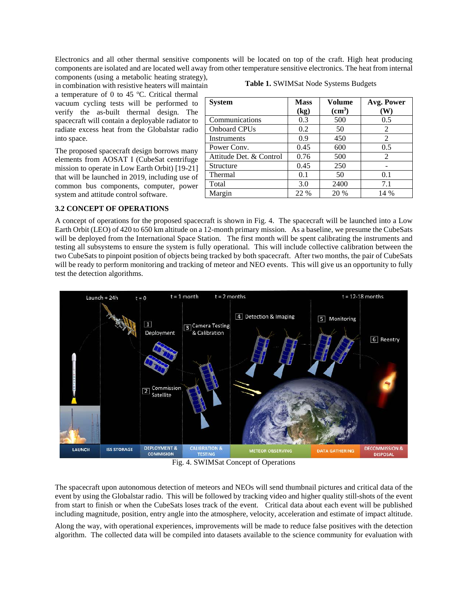Electronics and all other thermal sensitive components will be located on top of the craft. High heat producing components are isolated and are located well away from other temperature sensitive electronics. The heat from internal

components (using a metabolic heating strategy), in combination with resistive heaters will maintain a temperature of 0 to 45  $^{\circ}$ C. Critical thermal vacuum cycling tests will be performed to verify the as-built thermal design. The spacecraft will contain a deployable radiator to radiate excess heat from the Globalstar radio into space.

The proposed spacecraft design borrows many elements from AOSAT I (CubeSat centrifuge mission to operate in Low Earth Orbit) [19-21] that will be launched in 2019, including use of common bus components, computer, power system and attitude control software.

| Table 1. SWIMSat Node Systems Budgets |  |
|---------------------------------------|--|
|---------------------------------------|--|

| <b>System</b>           | <b>Mass</b> | Volume        | Avg. Power |
|-------------------------|-------------|---------------|------------|
|                         | (kg)        | $\text{cm}^3$ | (W)        |
| Communications          | 0.3         | 500           | 0.5        |
| <b>Onboard CPUs</b>     | 0.2         | 50            | 2          |
| Instruments             | 0.9         | 450           | 2          |
| Power Conv.             | 0.45        | 600           | 0.5        |
| Attitude Det. & Control | 0.76        | 500           | 2          |
| Structure               | 0.45        | 250           |            |
| Thermal                 | 0.1         | 50            | 0.1        |
| Total                   | 3.0         | 2400          | 7.1        |
| Margin                  | 22 %        | 20 %          | 14 %       |

## **3.2 CONCEPT OF OPERATIONS**

A concept of operations for the proposed spacecraft is shown in Fig. 4. The spacecraft will be launched into a Low Earth Orbit (LEO) of 420 to 650 km altitude on a 12-month primary mission. As a baseline, we presume the CubeSats will be deployed from the International Space Station. The first month will be spent calibrating the instruments and testing all subsystems to ensure the system is fully operational. This will include collective calibration between the two CubeSats to pinpoint position of objects being tracked by both spacecraft. After two months, the pair of CubeSats will be ready to perform monitoring and tracking of meteor and NEO events. This will give us an opportunity to fully test the detection algorithms.



Fig. 4. SWIMSat Concept of Operations

The spacecraft upon autonomous detection of meteors and NEOs will send thumbnail pictures and critical data of the event by using the Globalstar radio. This will be followed by tracking video and higher quality still-shots of the event from start to finish or when the CubeSats loses track of the event. Critical data about each event will be published including magnitude, position, entry angle into the atmosphere, velocity, acceleration and estimate of impact altitude.

Along the way, with operational experiences, improvements will be made to reduce false positives with the detection algorithm. The collected data will be compiled into datasets available to the science community for evaluation with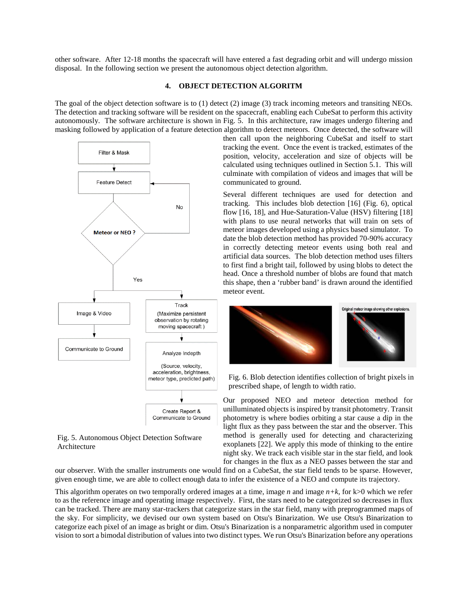other software. After 12-18 months the spacecraft will have entered a fast degrading orbit and will undergo mission disposal. In the following section we present the autonomous object detection algorithm.

# **4. OBJECT DETECTION ALGORITM**

The goal of the object detection software is to (1) detect (2) image (3) track incoming meteors and transiting NEOs. The detection and tracking software will be resident on the spacecraft, enabling each CubeSat to perform this activity autonomously. The software architecture is shown in Fig. 5. In this architecture, raw images undergo filtering and masking followed by application of a feature detection algorithm to detect meteors. Once detected, the software will





then call upon the neighboring CubeSat and itself to start tracking the event. Once the event is tracked, estimates of the position, velocity, acceleration and size of objects will be calculated using techniques outlined in Section 5.1. This will culminate with compilation of videos and images that will be communicated to ground.

Several different techniques are used for detection and tracking. This includes blob detection [16] (Fig. 6), optical flow [16, 18], and Hue-Saturation-Value (HSV) filtering [18] with plans to use neural networks that will train on sets of meteor images developed using a physics based simulator. To date the blob detection method has provided 70-90% accuracy in correctly detecting meteor events using both real and artificial data sources. The blob detection method uses filters to first find a bright tail, followed by using blobs to detect the head. Once a threshold number of blobs are found that match this shape, then a 'rubber band' is drawn around the identified meteor event.



Fig. 6. Blob detection identifies collection of bright pixels in prescribed shape, of length to width ratio.

Our proposed NEO and meteor detection method for unilluminated objects is inspired by transit photometry. Transit photometry is where bodies orbiting a star cause a dip in the light flux as they pass between the star and the observer. This method is generally used for detecting and characterizing exoplanets [22]. We apply this mode of thinking to the entire night sky. We track each visible star in the star field, and look for changes in the flux as a NEO passes between the star and

our observer. With the smaller instruments one would find on a CubeSat, the star field tends to be sparse. However, given enough time, we are able to collect enough data to infer the existence of a NEO and compute its trajectory.

This algorithm operates on two temporally ordered images at a time, image *n* and image *n+k*, for k>0 which we refer to as the reference image and operating image respectively. First, the stars need to be categorized so decreases in flux can be tracked. There are many star-trackers that categorize stars in the star field, many with preprogrammed maps of the sky. For simplicity, we devised our own system based on Otsu's Binarization. We use Otsu's Binarization to categorize each pixel of an image as bright or dim. Otsu's Binarization is a nonparametric algorithm used in computer vision to sort a bimodal distribution of values into two distinct types. We run Otsu's Binarization before any operations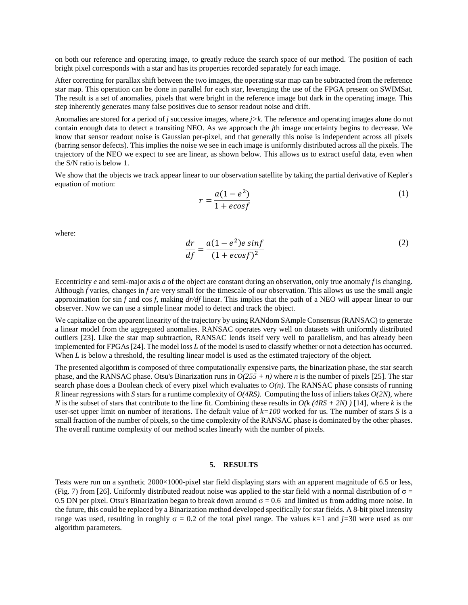on both our reference and operating image, to greatly reduce the search space of our method. The position of each bright pixel corresponds with a star and has its properties recorded separately for each image.

After correcting for parallax shift between the two images, the operating star map can be subtracted from the reference star map. This operation can be done in parallel for each star, leveraging the use of the FPGA present on SWIMSat. The result is a set of anomalies, pixels that were bright in the reference image but dark in the operating image. This step inherently generates many false positives due to sensor readout noise and drift.

Anomalies are stored for a period of *j* successive images, where *j>k*. The reference and operating images alone do not contain enough data to detect a transiting NEO. As we approach the *j*th image uncertainty begins to decrease. We know that sensor readout noise is Gaussian per-pixel, and that generally this noise is independent across all pixels (barring sensor defects). This implies the noise we see in each image is uniformly distributed across all the pixels. The trajectory of the NEO we expect to see are linear, as shown below. This allows us to extract useful data, even when the S/N ratio is below 1.

We show that the objects we track appear linear to our observation satellite by taking the partial derivative of Kepler's equation of motion:

$$
r = \frac{a(1 - e^2)}{1 + e\cos f} \tag{1}
$$

where:

$$
\frac{dr}{df} = \frac{a(1 - e^2)e\sin f}{(1 + e\cos f)^2} \tag{2}
$$

Eccentricity *e* and semi-major axis *a* of the object are constant during an observation, only true anomaly *f* is changing. Although *f* varies, changes in *f* are very small for the timescale of our observation. This allows us use the small angle approximation for sin *f* and cos *f*, making *dr/df* linear. This implies that the path of a NEO will appear linear to our observer. Now we can use a simple linear model to detect and track the object.

We capitalize on the apparent linearity of the trajectory by using RANdom SAmple Consensus (RANSAC) to generate a linear model from the aggregated anomalies. RANSAC operates very well on datasets with uniformly distributed outliers [23]. Like the star map subtraction, RANSAC lends itself very well to parallelism, and has already been implemented for FPGAs [24]. The model loss *L* of the model is used to classify whether or not a detection has occurred. When *L* is below a threshold, the resulting linear model is used as the estimated trajectory of the object.

The presented algorithm is composed of three computationally expensive parts, the binarization phase, the star search phase, and the RANSAC phase. Otsu's Binarization runs in *O(255 + n)* where *n* is the number of pixels [25]. The star search phase does a Boolean check of every pixel which evaluates to  $O(n)$ . The RANSAC phase consists of running *R* linear regressions with *S* stars for a runtime complexity of *O(4RS).* Computing the loss of inliers takes *O(2N)*, where *N* is the subset of stars that contribute to the line fit. Combining these results in  $O(k (4RS + 2N))$  [14], where *k* is the user-set upper limit on number of iterations. The default value of *k=100* worked for us. The number of stars *S* is a small fraction of the number of pixels, so the time complexity of the RANSAC phase is dominated by the other phases. The overall runtime complexity of our method scales linearly with the number of pixels.

#### **5. RESULTS**

Tests were run on a synthetic 2000×1000-pixel star field displaying stars with an apparent magnitude of 6.5 or less, (Fig. 7) from [26]. Uniformly distributed readout noise was applied to the star field with a normal distribution of  $\sigma$  = 0.5 DN per pixel. Otsu's Binarization began to break down around  $\sigma = 0.6$  and limited us from adding more noise. In the future, this could be replaced by a Binarization method developed specifically for star fields. A 8-bit pixel intensity range was used, resulting in roughly  $\sigma = 0.2$  of the total pixel range. The values  $k=1$  and  $j=30$  were used as our algorithm parameters.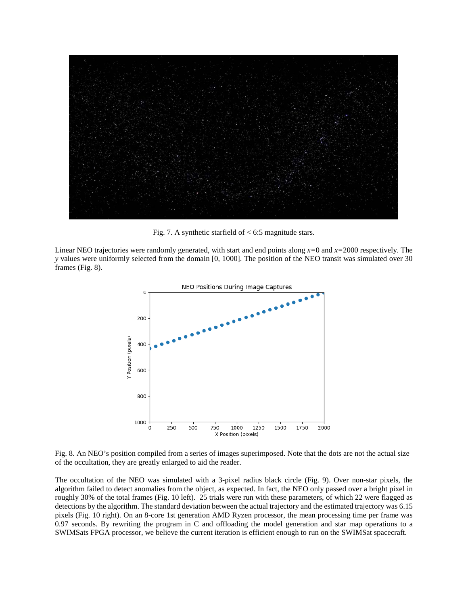

Fig. 7. A synthetic starfield of < 6:5 magnitude stars.

Linear NEO trajectories were randomly generated, with start and end points along *x=*0 and *x=*2000 respectively. The *y* values were uniformly selected from the domain [0, 1000]. The position of the NEO transit was simulated over 30 frames (Fig. 8).



Fig. 8. An NEO's position compiled from a series of images superimposed. Note that the dots are not the actual size of the occultation, they are greatly enlarged to aid the reader.

The occultation of the NEO was simulated with a 3-pixel radius black circle (Fig. 9). Over non-star pixels, the algorithm failed to detect anomalies from the object, as expected. In fact, the NEO only passed over a bright pixel in roughly 30% of the total frames (Fig. 10 left). 25 trials were run with these parameters, of which 22 were flagged as detections by the algorithm. The standard deviation between the actual trajectory and the estimated trajectory was 6.15 pixels (Fig. 10 right). On an 8-core 1st generation AMD Ryzen processor, the mean processing time per frame was 0.97 seconds. By rewriting the program in C and offloading the model generation and star map operations to a SWIMSats FPGA processor, we believe the current iteration is efficient enough to run on the SWIMSat spacecraft.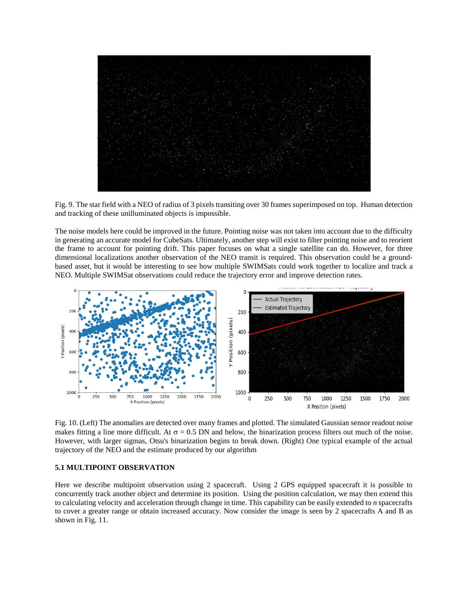Fig. 9. The star field with a NEO of radius of 3 pixels transiting over 30 frames superimposed on top. Human detection and tracking of these unilluminated objects is impossible.

The noise models here could be improved in the future. Pointing noise was not taken into account due to the difficulty in generating an accurate model for CubeSats. Ultimately, another step will exist to filter pointing noise and to reorient the frame to account for pointing drift. This paper focuses on what a single satellite can do. However, for three dimensional localizations another observation of the NEO transit is required. This observation could be a groundbased asset, but it would be interesting to see how multiple SWIMSats could work together to localize and track a NEO. Multiple SWIMSat observations could reduce the trajectory error and improve detection rates.



Fig. 10. (Left) The anomalies are detected over many frames and plotted. The simulated Gaussian sensor readout noise makes fitting a line more difficult. At  $\sigma = 0.5$  DN and below, the binarization process filters out much of the noise. However, with larger sigmas, Otsu's binarization begins to break down. (Right) One typical example of the actual trajectory of the NEO and the estimate produced by our algorithm

### **5.1 MULTIPOINT OBSERVATION**

Here we describe multipoint observation using 2 spacecraft. Using 2 GPS equipped spacecraft it is possible to concurrently track another object and determine its position. Using the position calculation, we may then extend this to calculating velocity and acceleration through change in time. This capability can be easily extended to *n* spacecrafts to cover a greater range or obtain increased accuracy. Now consider the image is seen by 2 spacecrafts A and B as shown in Fig. 11.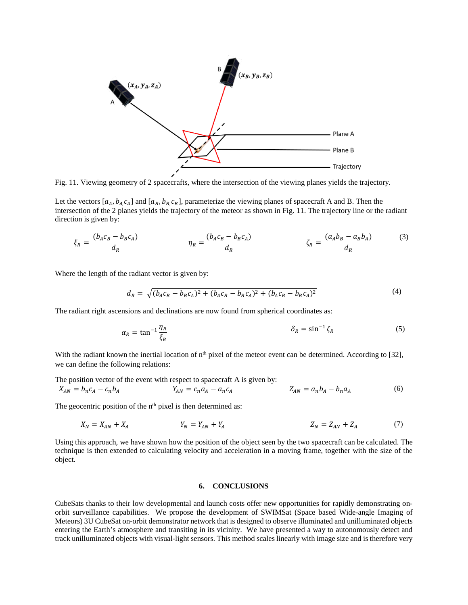

Fig. 11. Viewing geometry of 2 spacecrafts, where the intersection of the viewing planes yields the trajectory.

Let the vectors  $[a_A, b_A, c_A]$  and  $[a_B, b_B, c_B]$ , parameterize the viewing planes of spacecraft A and B. Then the intersection of the 2 planes yields the trajectory of the meteor as shown in Fig. 11. The trajectory line or the radiant direction is given by:

$$
\xi_R = \frac{(b_A c_B - b_B c_A)}{d_R} \qquad \eta_R = \frac{(b_A c_B - b_B c_A)}{d_R} \qquad \zeta_R = \frac{(a_A b_B - a_B b_A)}{d_R} \qquad (3)
$$

Where the length of the radiant vector is given by:

$$
d_R = \sqrt{(b_A c_B - b_B c_A)^2 + (b_A c_B - b_B c_A)^2 + (b_A c_B - b_B c_A)^2}
$$
\n(4)

The radiant right ascensions and declinations are now found from spherical coordinates as:

$$
\alpha_R = \tan^{-1} \frac{\eta_R}{\xi_R} \tag{5}
$$

With the radiant known the inertial location of  $n<sup>th</sup>$  pixel of the meteor event can be determined. According to [32], we can define the following relations:

The position vector of the event with respect to spacecraft A is given by:

$$
X_{AN} = b_n c_A - c_n b_A \qquad Y_{AN} = c_n a_A - a_n c_A \qquad Z_{AN} = a_n b_A - b_n a_A \qquad (6)
$$

The geocentric position of the  $n<sup>th</sup>$  pixel is then determined as:

$$
X_N = X_{AN} + X_A \t\t Y_N = Y_{AN} + Y_A \t\t Z_N = Z_{AN} + Z_A \t\t (7)
$$

Using this approach, we have shown how the position of the object seen by the two spacecraft can be calculated. The technique is then extended to calculating velocity and acceleration in a moving frame, together with the size of the object.

#### **6. CONCLUSIONS**

CubeSats thanks to their low developmental and launch costs offer new opportunities for rapidly demonstrating onorbit surveillance capabilities. We propose the development of SWIMSat (Space based Wide-angle Imaging of Meteors) 3U CubeSat on-orbit demonstrator network that is designed to observe illuminated and unilluminated objects entering the Earth's atmosphere and transiting in its vicinity. We have presented a way to autonomously detect and track unilluminated objects with visual-light sensors. This method scales linearly with image size and is therefore very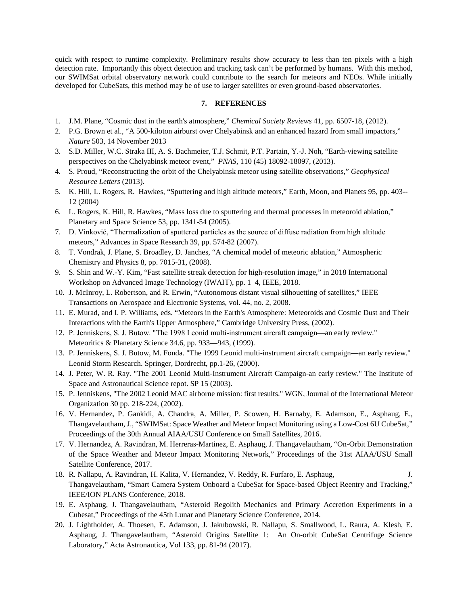quick with respect to runtime complexity. Preliminary results show accuracy to less than ten pixels with a high detection rate. Importantly this object detection and tracking task can't be performed by humans. With this method, our SWIMSat orbital observatory network could contribute to the search for meteors and NEOs. While initially developed for CubeSats, this method may be of use to larger satellites or even ground-based observatories.

### **7. REFERENCES**

- 1. J.M. Plane, "Cosmic dust in the earth's atmosphere," *Chemical Society Reviews* 41, pp. 6507-18, (2012).
- 2. P.G. Brown et al., "A 500-kiloton airburst over Chelyabinsk and an enhanced hazard from small impactors," *Nature* 503, 14 November 2013
- 3. S.D. Miller, W.C. Straka III, A. S. Bachmeier, T.J. Schmit, P.T. Partain, Y.-J. Noh, "Earth-viewing satellite perspectives on the Chelyabinsk meteor event," *PNAS*, 110 (45) 18092-18097, (2013).
- 4. S. Proud, "Reconstructing the orbit of the Chelyabinsk meteor using satellite observations," *Geophysical Resource Letters* (2013).
- 5. K. Hill, L. Rogers, R. Hawkes, "Sputtering and high altitude meteors," Earth, Moon, and Planets 95, pp. 403-- 12 (2004)
- 6. L. Rogers, K. Hill, R. Hawkes, "Mass loss due to sputtering and thermal processes in meteoroid ablation," Planetary and Space Science 53, pp. 1341-54 (2005).
- 7. D. Vinković, "Thermalization of sputtered particles as the source of diffuse radiation from high altitude meteors," Advances in Space Research 39, pp. 574-82 (2007).
- 8. T. Vondrak, J. Plane, S. Broadley, D. Janches, "A chemical model of meteoric ablation," Atmospheric Chemistry and Physics 8, pp. 7015-31, (2008).
- 9. S. Shin and W.-Y. Kim, "Fast satellite streak detection for high-resolution image," in 2018 International Workshop on Advanced Image Technology (IWAIT), pp. 1–4, IEEE, 2018.
- 10. J. McInroy, L. Robertson, and R. Erwin, "Autonomous distant visual silhouetting of satellites," IEEE Transactions on Aerospace and Electronic Systems, vol. 44, no. 2, 2008.
- 11. E. Murad, and I. P. Williams, eds. "Meteors in the Earth's Atmosphere: Meteoroids and Cosmic Dust and Their Interactions with the Earth's Upper Atmosphere," Cambridge University Press, (2002).
- 12. P. Jenniskens, S. J. Butow. "The 1998 Leonid multi‐instrument aircraft campaign—an early review." Meteoritics & Planetary Science 34.6, pp. 933—943, (1999).
- 13. P. Jenniskens, S. J. Butow, M. Fonda. "The 1999 Leonid multi-instrument aircraft campaign—an early review." Leonid Storm Research. Springer, Dordrecht, pp.1-26, (2000).
- 14. J. Peter, W. R. Ray. "The 2001 Leonid Multi-Instrument Aircraft Campaign-an early review." The Institute of Space and Astronautical Science repot. SP 15 (2003).
- 15. P. Jenniskens, "The 2002 Leonid MAC airborne mission: first results." WGN, Journal of the International Meteor Organization 30 pp. 218-224, (2002).
- 16. V. Hernandez, P. Gankidi, A. Chandra, A. Miller, P. Scowen, H. Barnaby, E. Adamson, E., Asphaug, E., Thangavelautham, J., "SWIMSat: Space Weather and Meteor Impact Monitoring using a Low-Cost 6U CubeSat," Proceedings of the 30th Annual AIAA/USU Conference on Small Satellites, 2016.
- 17. V. Hernandez, A. Ravindran, M. Herreras-Martinez, E. Asphaug, J. Thangavelautham, "On-Orbit Demonstration of the Space Weather and Meteor Impact Monitoring Network," Proceedings of the 31st AIAA/USU Small Satellite Conference, 2017.
- 18. R. Nallapu, A. Ravindran, H. Kalita, V. Hernandez, V. Reddy, R. Furfaro, E. Asphaug, J. Thangavelautham, "Smart Camera System Onboard a CubeSat for Space-based Object Reentry and Tracking," IEEE/ION PLANS Conference, 2018.
- 19. E. Asphaug, J. Thangavelautham, "Asteroid Regolith Mechanics and Primary Accretion Experiments in a Cubesat," Proceedings of the 45th Lunar and Planetary Science Conference, 2014.
- 20. J. Lightholder, A. Thoesen, E. Adamson, J. Jakubowski, R. Nallapu, S. Smallwood, L. Raura, A. Klesh, E. Asphaug, J. Thangavelautham, "Asteroid Origins Satellite 1: An On-orbit CubeSat Centrifuge Science Laboratory," Acta Astronautica, Vol 133, pp. 81-94 (2017).